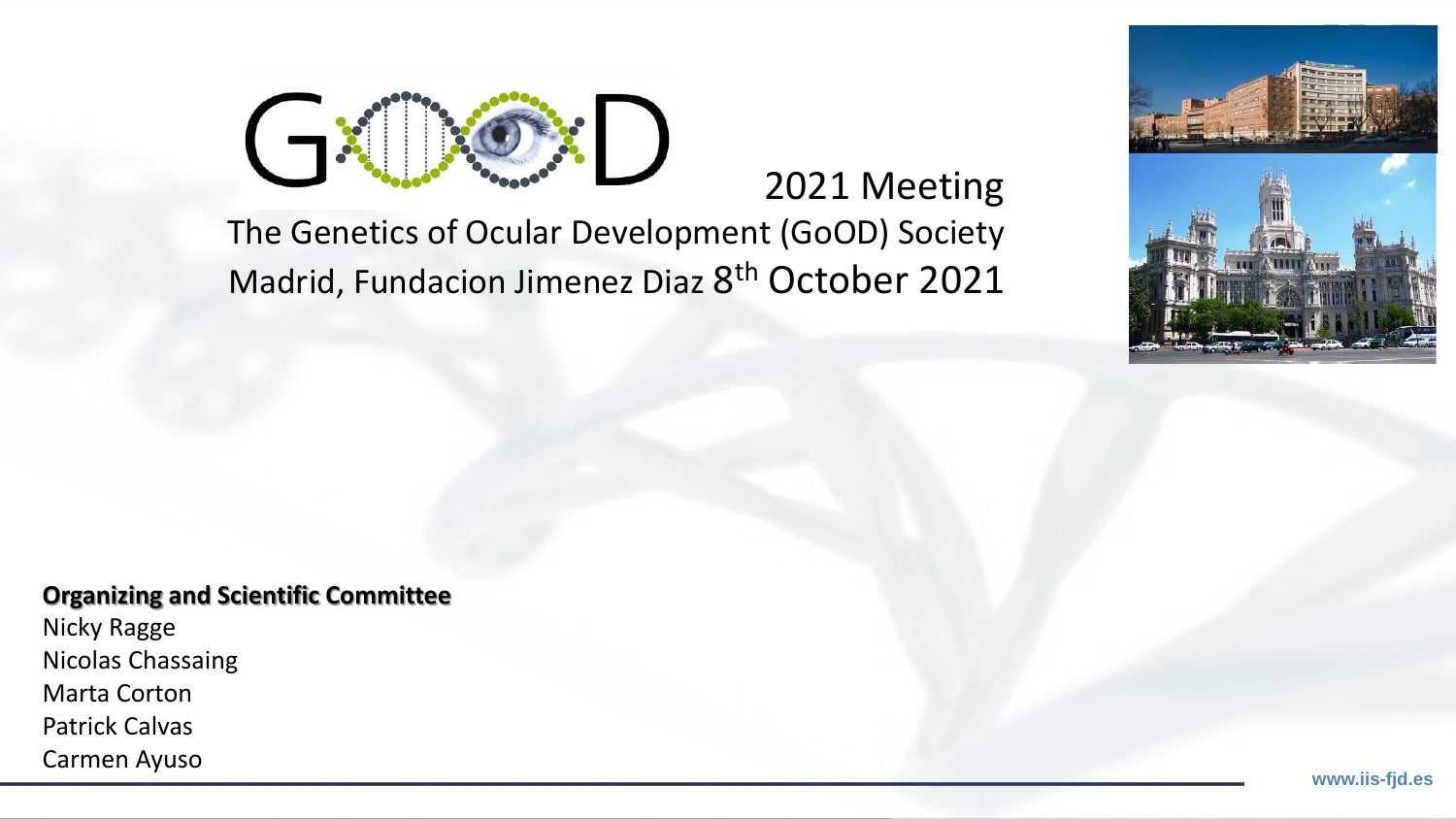

# 2021 Meeting

### The Genetics of Ocular Development (GoOD) Society Madrid, Fundacion Jimenez Diaz 8<sup>th</sup> October 2021



#### **Organizing and Scientific Committee**

Nicky Ragge Nicolas Chassaing Marta Corton Patrick Calvas Carmen Ayuso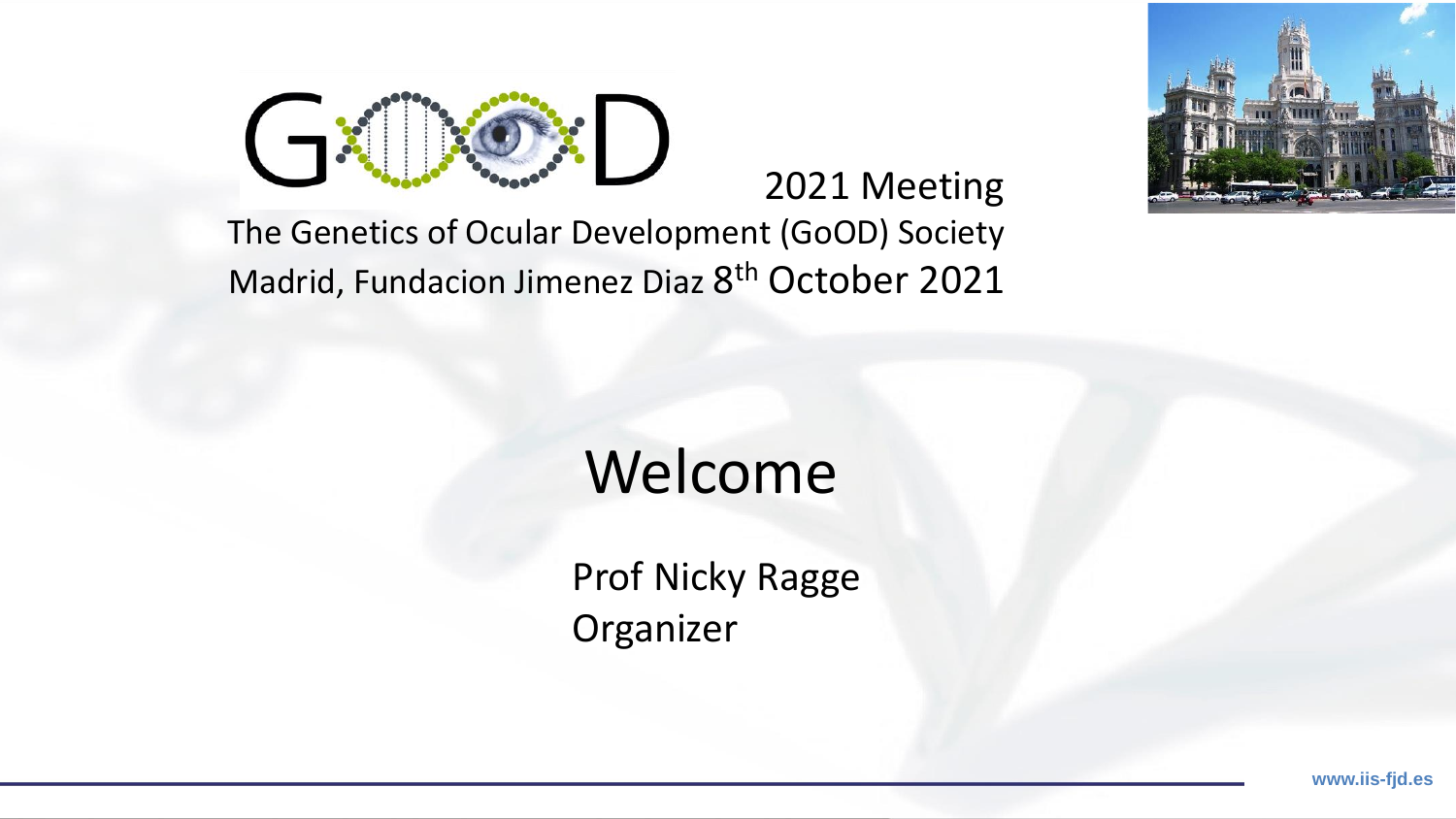

### 2021 Meeting

### The Genetics of Ocular Development (GoOD) Society Madrid, Fundacion Jimenez Diaz 8<sup>th</sup> October 2021

# Welcome

Prof Nicky Ragge Organizer

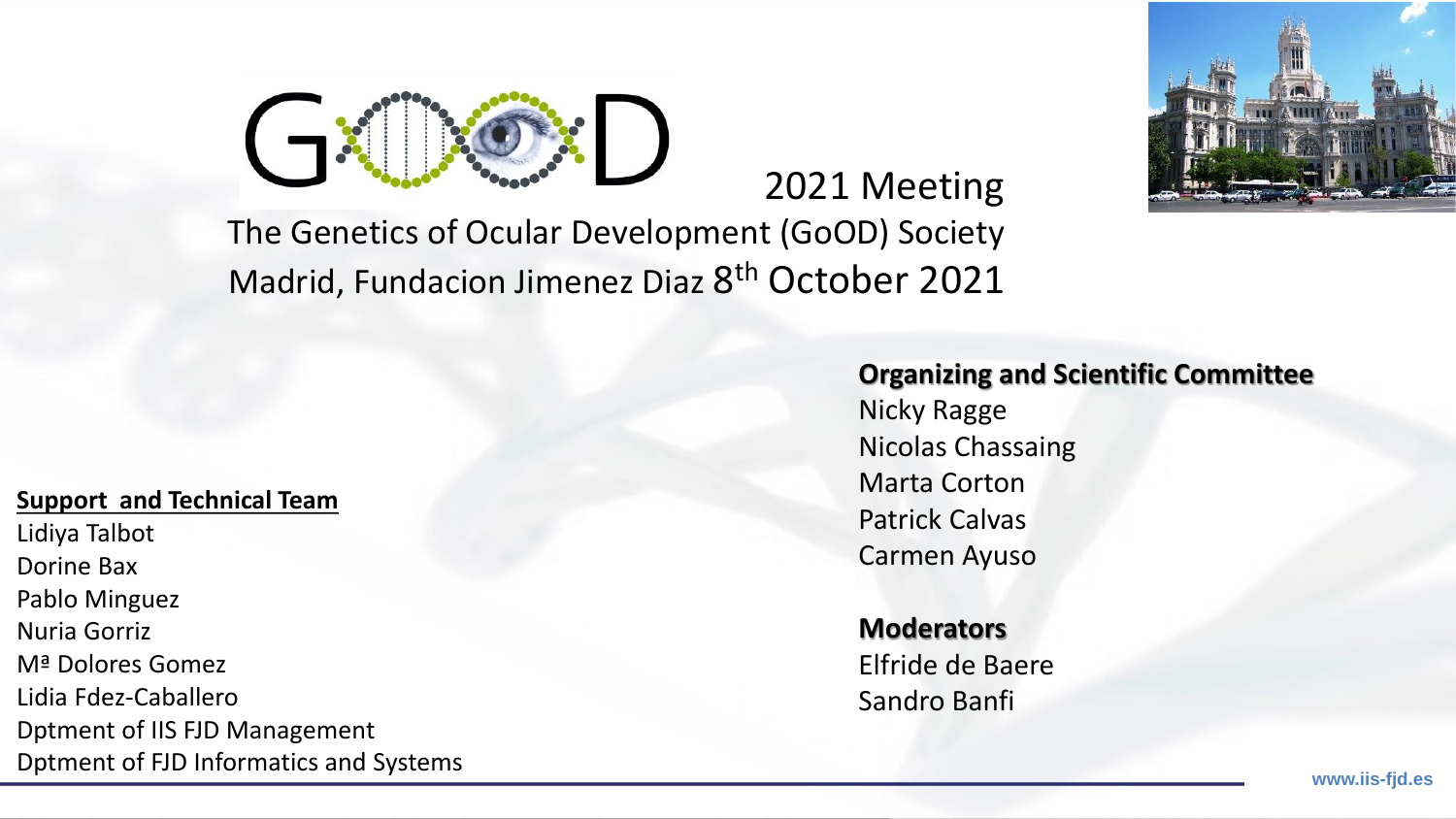



## The Genetics of Ocular Development (GoOD) Society Madrid, Fundacion Jimenez Diaz 8<sup>th</sup> October 2021

#### **Support and Technical Team**

Lidiya Talbot Dorine Bax Pablo Minguez Nuria Gorriz Mª Dolores Gomez Lidia Fdez-Caballero Dptment of IIS FJD Management Dptment of FJD Informatics and Systems

#### **Organizing and Scientific Committee**

Nicky Ragge Nicolas Chassaing Marta Corton Patrick Calvas Carmen Ayuso

2021 Meeting

**Moderators** Elfride de Baere Sandro Banfi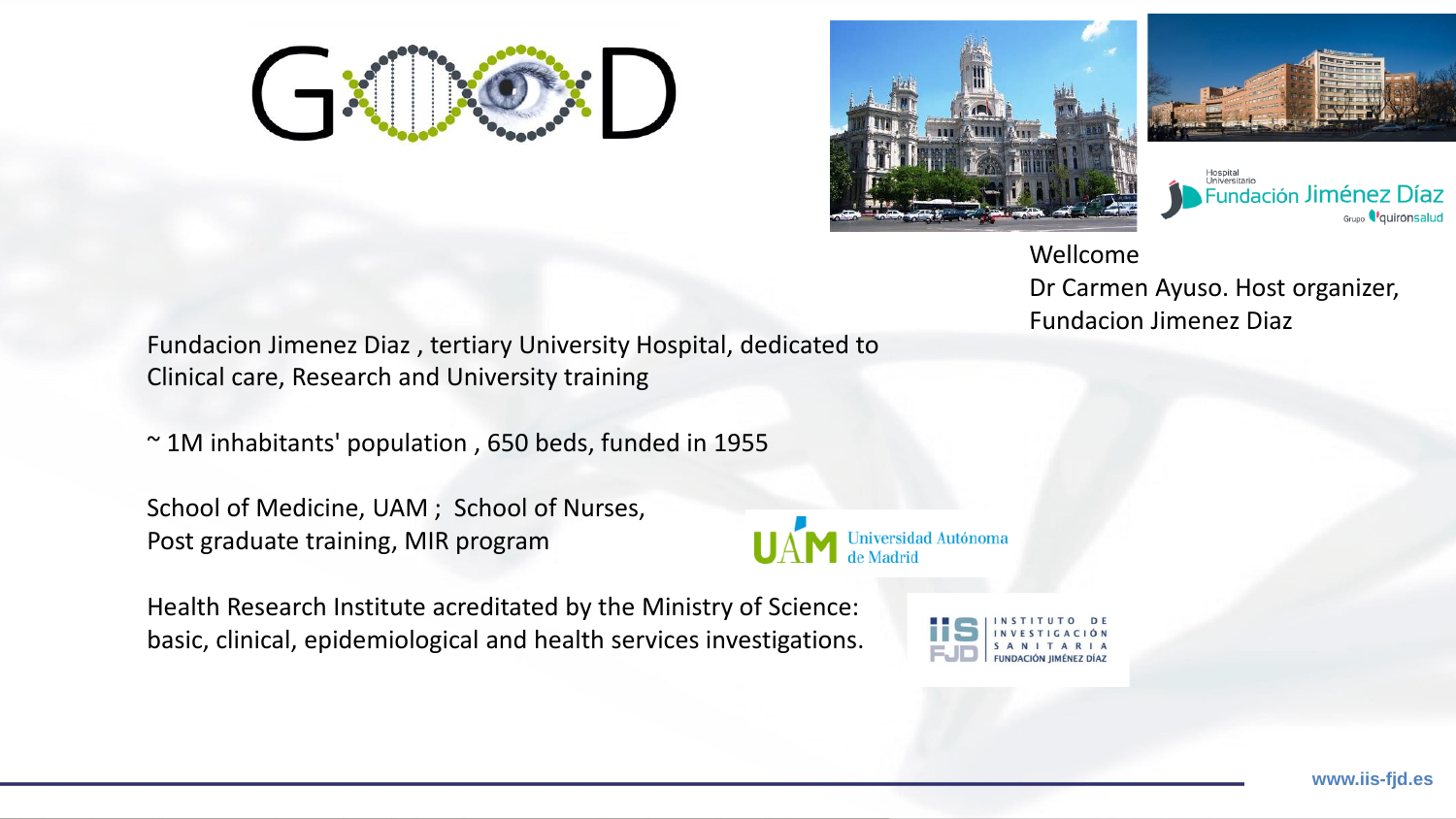





**Fundación Jiménez Díaz** Grupo *Q*uironsalud

Wellcome Dr Carmen Ayuso. Host organizer, Fundacion Jimenez Diaz

Fundacion Jimenez Diaz , tertiary University Hospital, dedicated to Clinical care, Research and University training

~ 1M inhabitants' population , 650 beds, funded in 1955

School of Medicine, UAM ; School of Nurses, Post graduate training, MIR program

Health Research Institute acreditated by the Ministry of Science: basic, clinical, epidemiological and health services investigations.



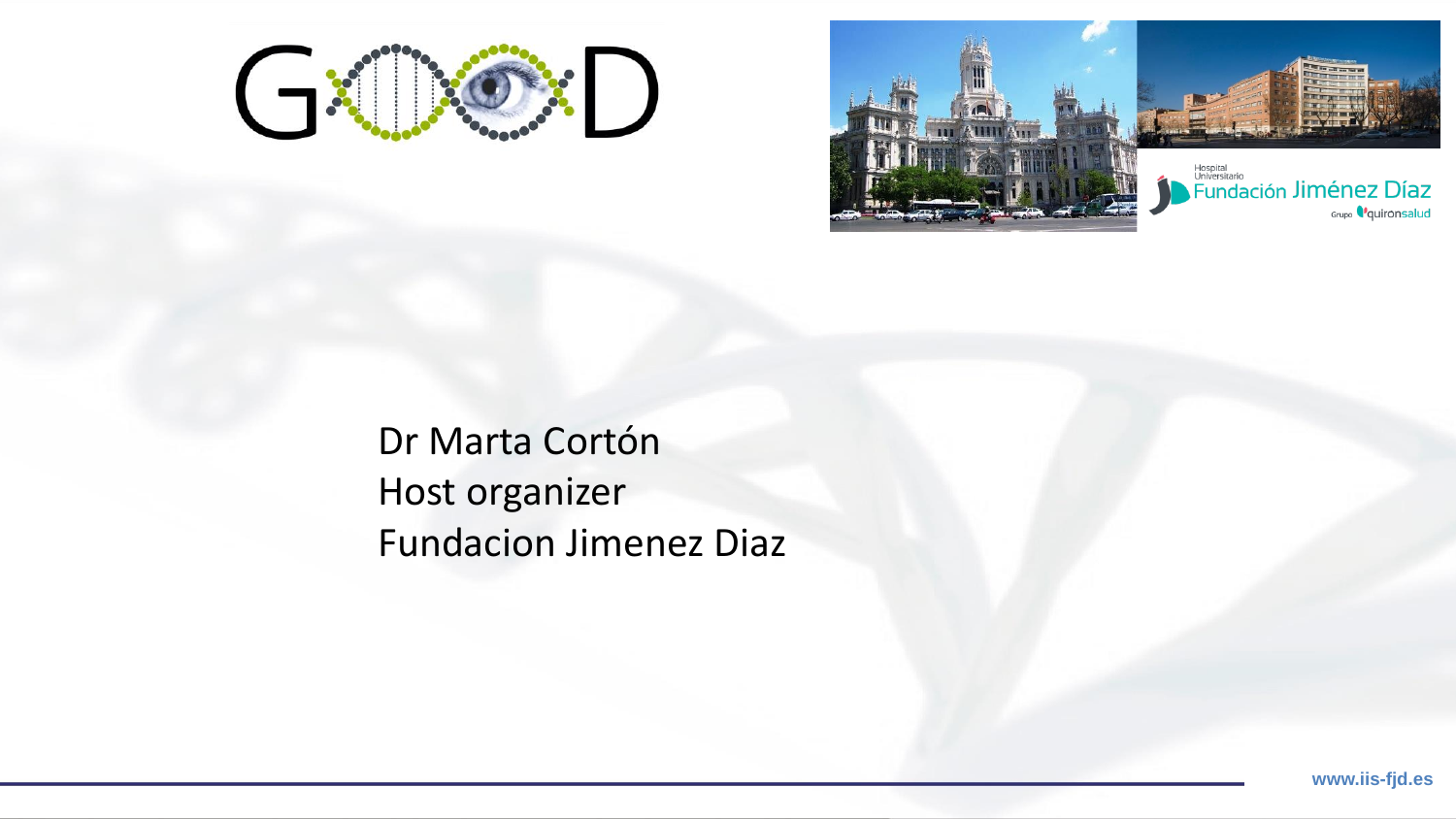



Dr Marta Cortón Host organizer Fundacion Jimenez Diaz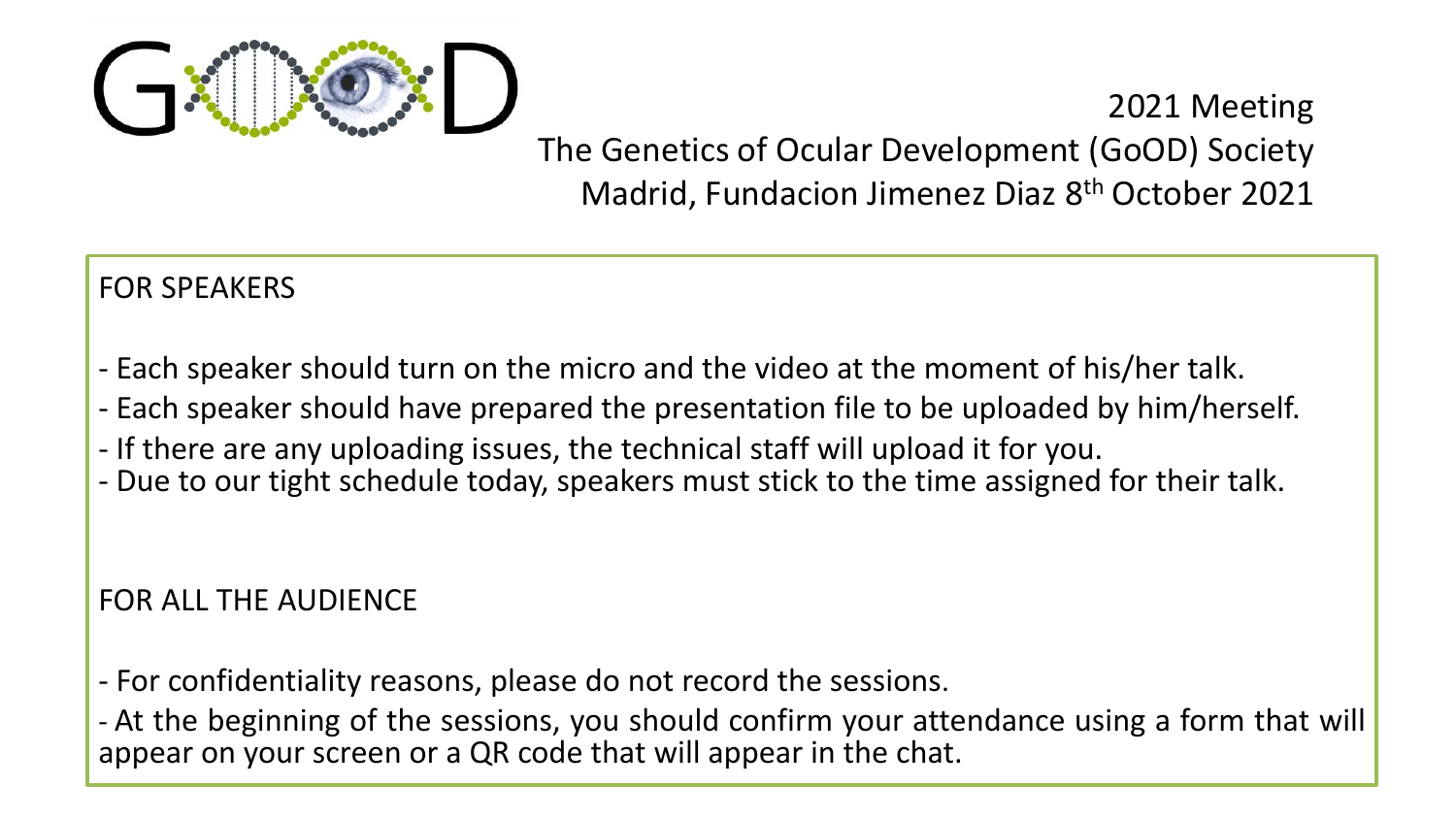

2021 Meeting The Genetics of Ocular Development (GoOD) Society Madrid, Fundacion Jimenez Diaz 8th October 2021

### FOR SPEAKERS

- Each speaker should turn on the micro and the video at the moment of his/her talk.
- Each speaker should have prepared the presentation file to be uploaded by him/herself.
- If there are any uploading issues, the technical staff will upload it for you.
- Due to our tight schedule today, speakers must stick to the time assigned for their talk.

#### FOR ALL THE AUDIENCE

- For confidentiality reasons, please do not record the sessions.

- At the beginning of the sessions, you should confirm your attendance using a form that will appear on your screen or a QR code that will appear in the chat.